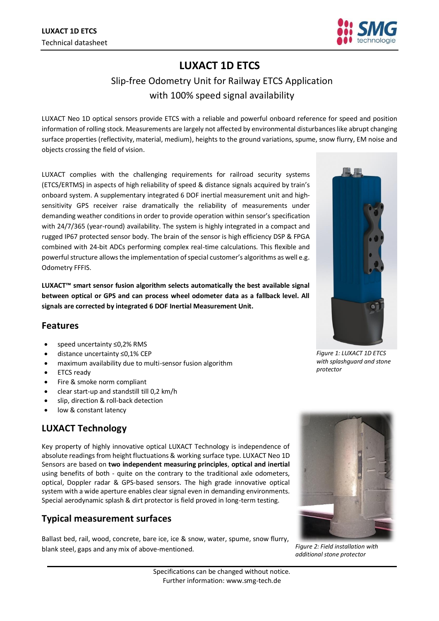

# **LUXACT 1D ETCS**

## Slip-free Odometry Unit for Railway ETCS Application with 100% speed signal availability

LUXACT Neo 1D optical sensors provide ETCS with a reliable and powerful onboard reference for speed and position information of rolling stock. Measurements are largely not affected by environmental disturbances like abrupt changing surface properties (reflectivity, material, medium), heights to the ground variations, spume, snow flurry, EM noise and objects crossing the field of vision.

LUXACT complies with the challenging requirements for railroad security systems (ETCS/ERTMS) in aspects of high reliability of speed & distance signals acquired by train's onboard system. A supplementary integrated 6 DOF inertial measurement unit and highsensitivity GPS receiver raise dramatically the reliability of measurements under demanding weather conditions in order to provide operation within sensor's specification with 24/7/365 (year-round) availability. The system is highly integrated in a compact and rugged IP67 protected sensor body. The brain of the sensor is high efficiency DSP & FPGA combined with 24-bit ADCs performing complex real-time calculations. This flexible and powerful structure allows the implementation of special customer's algorithms as well e.g. Odometry FFFIS.

**LUXACT™ smart sensor fusion algorithm selects automatically the best available signal between optical or GPS and can process wheel odometer data as a fallback level. All signals are corrected by integrated 6 DOF Inertial Measurement Unit.**

#### **Features**

- speed uncertainty ≤0,2% RMS
- distance uncertainty ≤0,1% CEP
- maximum availability due to multi-sensor fusion algorithm
- ETCS ready
- Fire & smoke norm compliant
- clear start-up and standstill till 0,2 km/h
- slip, direction & roll-back detection
- low & constant latency

### **LUXACT Technology**

Key property of highly innovative optical LUXACT Technology is independence of absolute readings from height fluctuations & working surface type. LUXACT Neo 1D Sensors are based on **two independent measuring principles**, **optical and inertial** using benefits of both - quite on the contrary to the traditional axle odometers, optical, Doppler radar & GPS-based sensors. The high grade innovative optical system with a wide aperture enables clear signal even in demanding environments. Special aerodynamic splash & dirt protector is field proved in long-term testing.

#### **Typical measurement surfaces**

Ballast bed, rail, wood, concrete, bare ice, ice & snow, water, spume, snow flurry, blank steel, gaps and any mix of above-mentioned. *Figure 2: Field installation with* 



*additional stone protector*



*Figure 1: LUXACT 1D ETCS with splashguard and stone protector*